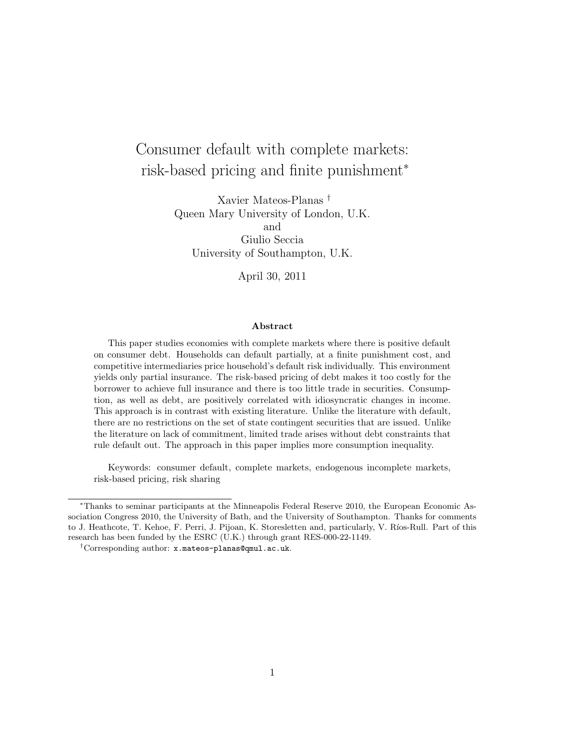# Consumer default with complete markets: risk-based pricing and finite punishment<sup>∗</sup>

Xavier Mateos-Planas † Queen Mary University of London, U.K. and Giulio Seccia University of Southampton, U.K.

April 30, 2011

#### Abstract

This paper studies economies with complete markets where there is positive default on consumer debt. Households can default partially, at a finite punishment cost, and competitive intermediaries price household's default risk individually. This environment yields only partial insurance. The risk-based pricing of debt makes it too costly for the borrower to achieve full insurance and there is too little trade in securities. Consumption, as well as debt, are positively correlated with idiosyncratic changes in income. This approach is in contrast with existing literature. Unlike the literature with default, there are no restrictions on the set of state contingent securities that are issued. Unlike the literature on lack of commitment, limited trade arises without debt constraints that rule default out. The approach in this paper implies more consumption inequality.

Keywords: consumer default, complete markets, endogenous incomplete markets, risk-based pricing, risk sharing

<sup>∗</sup>Thanks to seminar participants at the Minneapolis Federal Reserve 2010, the European Economic Association Congress 2010, the University of Bath, and the University of Southampton. Thanks for comments to J. Heathcote, T. Kehoe, F. Perri, J. Pijoan, K. Storesletten and, particularly, V. Ríos-Rull. Part of this research has been funded by the ESRC (U.K.) through grant RES-000-22-1149.

<sup>†</sup>Corresponding author: x.mateos-planas@qmul.ac.uk.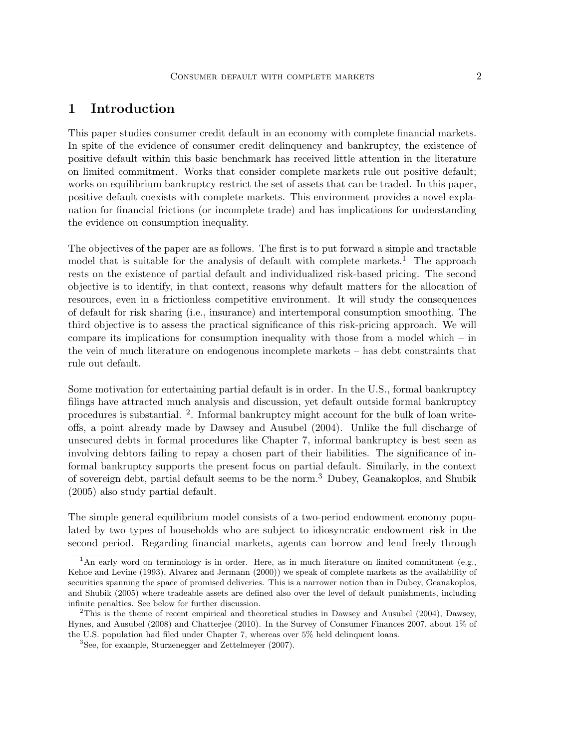# 1 Introduction

This paper studies consumer credit default in an economy with complete financial markets. In spite of the evidence of consumer credit delinquency and bankruptcy, the existence of positive default within this basic benchmark has received little attention in the literature on limited commitment. Works that consider complete markets rule out positive default; works on equilibrium bankruptcy restrict the set of assets that can be traded. In this paper, positive default coexists with complete markets. This environment provides a novel explanation for financial frictions (or incomplete trade) and has implications for understanding the evidence on consumption inequality.

The objectives of the paper are as follows. The first is to put forward a simple and tractable model that is suitable for the analysis of default with complete markets.<sup>1</sup> The approach rests on the existence of partial default and individualized risk-based pricing. The second objective is to identify, in that context, reasons why default matters for the allocation of resources, even in a frictionless competitive environment. It will study the consequences of default for risk sharing (i.e., insurance) and intertemporal consumption smoothing. The third objective is to assess the practical significance of this risk-pricing approach. We will compare its implications for consumption inequality with those from a model which – in the vein of much literature on endogenous incomplete markets – has debt constraints that rule out default.

Some motivation for entertaining partial default is in order. In the U.S., formal bankruptcy filings have attracted much analysis and discussion, yet default outside formal bankruptcy procedures is substantial. <sup>2</sup>. Informal bankruptcy might account for the bulk of loan writeoffs, a point already made by Dawsey and Ausubel (2004). Unlike the full discharge of unsecured debts in formal procedures like Chapter 7, informal bankruptcy is best seen as involving debtors failing to repay a chosen part of their liabilities. The significance of informal bankruptcy supports the present focus on partial default. Similarly, in the context of sovereign debt, partial default seems to be the norm.<sup>3</sup> Dubey, Geanakoplos, and Shubik (2005) also study partial default.

The simple general equilibrium model consists of a two-period endowment economy populated by two types of households who are subject to idiosyncratic endowment risk in the second period. Regarding financial markets, agents can borrow and lend freely through

<sup>&</sup>lt;sup>1</sup>An early word on terminology is in order. Here, as in much literature on limited commitment (e.g., Kehoe and Levine (1993), Alvarez and Jermann (2000)) we speak of complete markets as the availability of securities spanning the space of promised deliveries. This is a narrower notion than in Dubey, Geanakoplos, and Shubik (2005) where tradeable assets are defined also over the level of default punishments, including infinite penalties. See below for further discussion.

<sup>&</sup>lt;sup>2</sup>This is the theme of recent empirical and theoretical studies in Dawsey and Ausubel (2004), Dawsey, Hynes, and Ausubel (2008) and Chatterjee (2010). In the Survey of Consumer Finances 2007, about 1% of the U.S. population had filed under Chapter 7, whereas over 5% held delinquent loans.

<sup>3</sup>See, for example, Sturzenegger and Zettelmeyer (2007).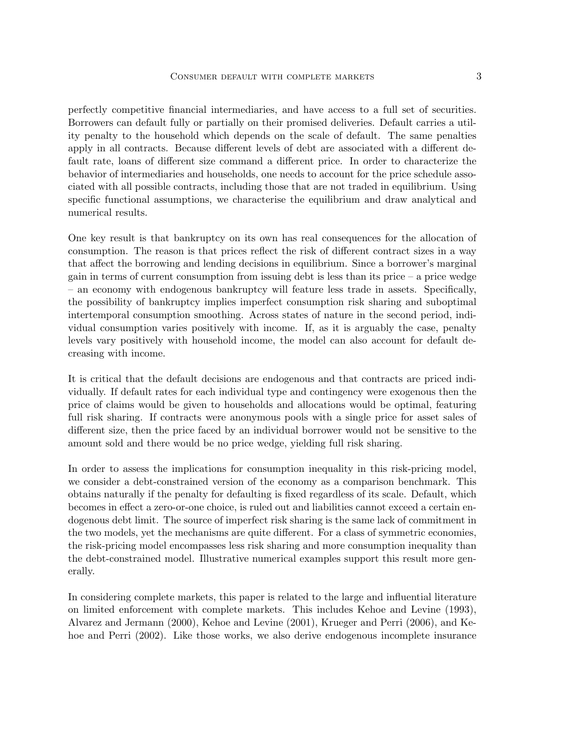perfectly competitive financial intermediaries, and have access to a full set of securities. Borrowers can default fully or partially on their promised deliveries. Default carries a utility penalty to the household which depends on the scale of default. The same penalties apply in all contracts. Because different levels of debt are associated with a different default rate, loans of different size command a different price. In order to characterize the behavior of intermediaries and households, one needs to account for the price schedule associated with all possible contracts, including those that are not traded in equilibrium. Using specific functional assumptions, we characterise the equilibrium and draw analytical and numerical results.

One key result is that bankruptcy on its own has real consequences for the allocation of consumption. The reason is that prices reflect the risk of different contract sizes in a way that affect the borrowing and lending decisions in equilibrium. Since a borrower's marginal gain in terms of current consumption from issuing debt is less than its price – a price wedge – an economy with endogenous bankruptcy will feature less trade in assets. Specifically, the possibility of bankruptcy implies imperfect consumption risk sharing and suboptimal intertemporal consumption smoothing. Across states of nature in the second period, individual consumption varies positively with income. If, as it is arguably the case, penalty levels vary positively with household income, the model can also account for default decreasing with income.

It is critical that the default decisions are endogenous and that contracts are priced individually. If default rates for each individual type and contingency were exogenous then the price of claims would be given to households and allocations would be optimal, featuring full risk sharing. If contracts were anonymous pools with a single price for asset sales of different size, then the price faced by an individual borrower would not be sensitive to the amount sold and there would be no price wedge, yielding full risk sharing.

In order to assess the implications for consumption inequality in this risk-pricing model, we consider a debt-constrained version of the economy as a comparison benchmark. This obtains naturally if the penalty for defaulting is fixed regardless of its scale. Default, which becomes in effect a zero-or-one choice, is ruled out and liabilities cannot exceed a certain endogenous debt limit. The source of imperfect risk sharing is the same lack of commitment in the two models, yet the mechanisms are quite different. For a class of symmetric economies, the risk-pricing model encompasses less risk sharing and more consumption inequality than the debt-constrained model. Illustrative numerical examples support this result more generally.

In considering complete markets, this paper is related to the large and influential literature on limited enforcement with complete markets. This includes Kehoe and Levine (1993), Alvarez and Jermann (2000), Kehoe and Levine (2001), Krueger and Perri (2006), and Kehoe and Perri (2002). Like those works, we also derive endogenous incomplete insurance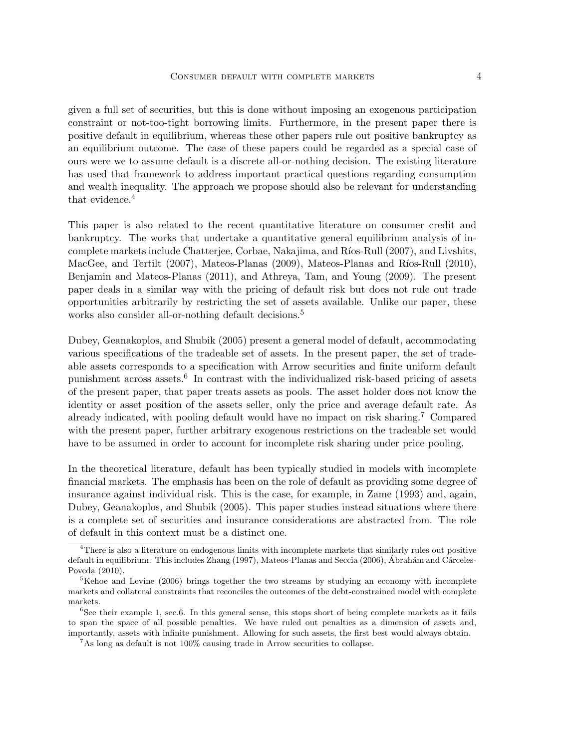given a full set of securities, but this is done without imposing an exogenous participation constraint or not-too-tight borrowing limits. Furthermore, in the present paper there is positive default in equilibrium, whereas these other papers rule out positive bankruptcy as an equilibrium outcome. The case of these papers could be regarded as a special case of ours were we to assume default is a discrete all-or-nothing decision. The existing literature has used that framework to address important practical questions regarding consumption and wealth inequality. The approach we propose should also be relevant for understanding that evidence.<sup>4</sup>

This paper is also related to the recent quantitative literature on consumer credit and bankruptcy. The works that undertake a quantitative general equilibrium analysis of incomplete markets include Chatterjee, Corbae, Nakajima, and Ríos-Rull (2007), and Livshits, MacGee, and Tertilt (2007), Mateos-Planas (2009), Mateos-Planas and Ríos-Rull (2010), Benjamin and Mateos-Planas (2011), and Athreya, Tam, and Young (2009). The present paper deals in a similar way with the pricing of default risk but does not rule out trade opportunities arbitrarily by restricting the set of assets available. Unlike our paper, these works also consider all-or-nothing default decisions.<sup>5</sup>

Dubey, Geanakoplos, and Shubik (2005) present a general model of default, accommodating various specifications of the tradeable set of assets. In the present paper, the set of tradeable assets corresponds to a specification with Arrow securities and finite uniform default punishment across assets.<sup>6</sup> In contrast with the individualized risk-based pricing of assets of the present paper, that paper treats assets as pools. The asset holder does not know the identity or asset position of the assets seller, only the price and average default rate. As already indicated, with pooling default would have no impact on risk sharing.<sup>7</sup> Compared with the present paper, further arbitrary exogenous restrictions on the tradeable set would have to be assumed in order to account for incomplete risk sharing under price pooling.

In the theoretical literature, default has been typically studied in models with incomplete financial markets. The emphasis has been on the role of default as providing some degree of insurance against individual risk. This is the case, for example, in Zame (1993) and, again, Dubey, Geanakoplos, and Shubik (2005). This paper studies instead situations where there is a complete set of securities and insurance considerations are abstracted from. The role of default in this context must be a distinct one.

<sup>&</sup>lt;sup>4</sup>There is also a literature on endogenous limits with incomplete markets that similarly rules out positive default in equilibrium. This includes Zhang (1997), Mateos-Planas and Seccia (2006), Ábrahám and Cárceles-Poveda (2010).

<sup>&</sup>lt;sup>5</sup>Kehoe and Levine (2006) brings together the two streams by studying an economy with incomplete markets and collateral constraints that reconciles the outcomes of the debt-constrained model with complete markets.

<sup>&</sup>lt;sup>6</sup>See their example 1, sec.6. In this general sense, this stops short of being complete markets as it fails to span the space of all possible penalties. We have ruled out penalties as a dimension of assets and, importantly, assets with infinite punishment. Allowing for such assets, the first best would always obtain.

 $7$ As long as default is not 100% causing trade in Arrow securities to collapse.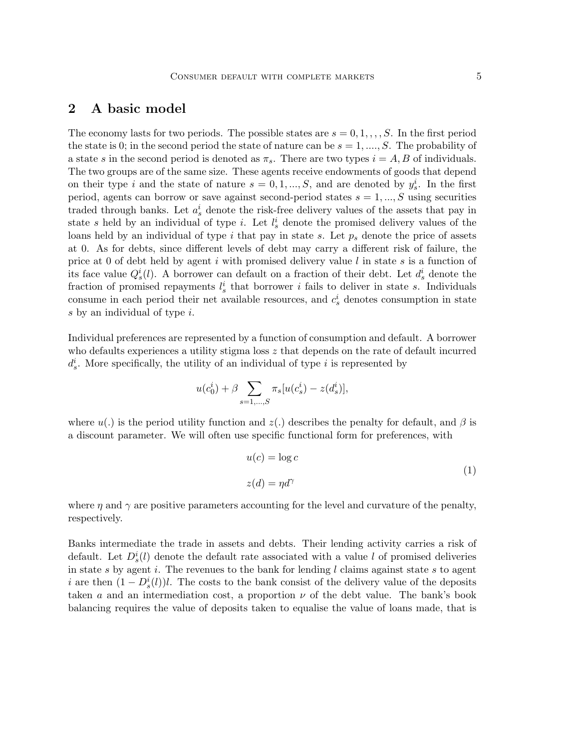# 2 A basic model

The economy lasts for two periods. The possible states are  $s = 0, 1, \ldots, S$ . In the first period the state is 0; in the second period the state of nature can be  $s = 1, ..., S$ . The probability of a state s in the second period is denoted as  $\pi_s$ . There are two types  $i = A, B$  of individuals. The two groups are of the same size. These agents receive endowments of goods that depend on their type i and the state of nature  $s = 0, 1, ..., S$ , and are denoted by  $y_s^i$ . In the first period, agents can borrow or save against second-period states  $s = 1, ..., S$  using securities traded through banks. Let  $a_s^i$  denote the risk-free delivery values of the assets that pay in state s held by an individual of type i. Let  $l_s^i$  denote the promised delivery values of the loans held by an individual of type i that pay in state s. Let  $p_s$  denote the price of assets at 0. As for debts, since different levels of debt may carry a different risk of failure, the price at 0 of debt held by agent i with promised delivery value l in state s is a function of its face value  $Q_s^i(l)$ . A borrower can default on a fraction of their debt. Let  $d_s^i$  denote the fraction of promised repayments  $l_s^i$  that borrower i fails to deliver in state s. Individuals consume in each period their net available resources, and  $c_s^i$  denotes consumption in state s by an individual of type i.

Individual preferences are represented by a function of consumption and default. A borrower who defaults experiences a utility stigma loss z that depends on the rate of default incurred  $d_s^i$ . More specifically, the utility of an individual of type i is represented by

$$
u(c_0^i) + \beta \sum_{s=1,\dots,S} \pi_s [u(c_s^i) - z(d_s^i)],
$$

where  $u(.)$  is the period utility function and  $z(.)$  describes the penalty for default, and  $\beta$  is a discount parameter. We will often use specific functional form for preferences, with

$$
u(c) = \log c
$$
  
\n
$$
z(d) = \eta d^{\gamma}
$$
\n(1)

where  $\eta$  and  $\gamma$  are positive parameters accounting for the level and curvature of the penalty, respectively.

Banks intermediate the trade in assets and debts. Their lending activity carries a risk of default. Let  $D_s^i(l)$  denote the default rate associated with a value l of promised deliveries in state s by agent i. The revenues to the bank for lending  $l$  claims against state s to agent i are then  $(1 - D_s^i(l))l$ . The costs to the bank consist of the delivery value of the deposits taken a and an intermediation cost, a proportion  $\nu$  of the debt value. The bank's book balancing requires the value of deposits taken to equalise the value of loans made, that is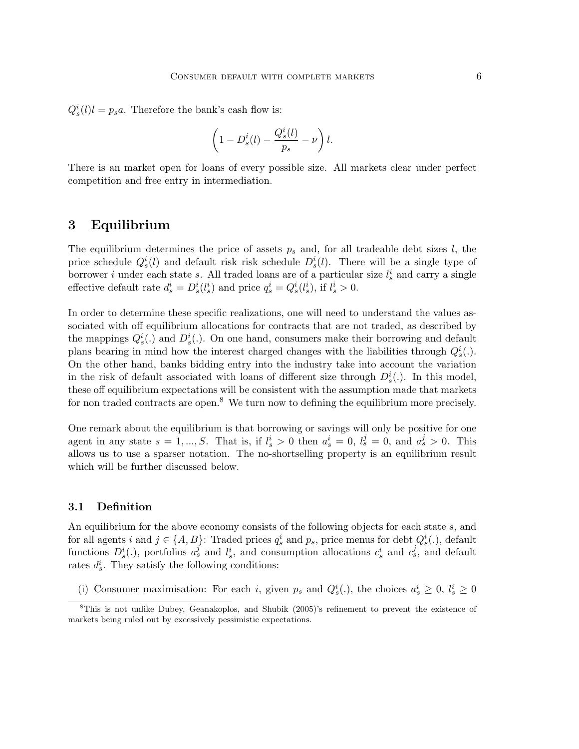$Q_s^i(l)l = p_s a$ . Therefore the bank's cash flow is:

$$
\left(1-D_s^i(l)-\frac{Q_s^i(l)}{p_s}-\nu\right)l.
$$

There is an market open for loans of every possible size. All markets clear under perfect competition and free entry in intermediation.

### 3 Equilibrium

The equilibrium determines the price of assets  $p_s$  and, for all tradeable debt sizes  $l$ , the price schedule  $Q_s^i(l)$  and default risk risk schedule  $D_s^i(l)$ . There will be a single type of borrower *i* under each state *s*. All traded loans are of a particular size  $l_s^i$  and carry a single effective default rate  $d_s^i = D_s^i(l_s^i)$  and price  $q_s^i = Q_s^i(l_s^i)$ , if  $l_s^i > 0$ .

In order to determine these specific realizations, one will need to understand the values associated with off equilibrium allocations for contracts that are not traded, as described by the mappings  $Q_s^i(.)$  and  $D_s^i(.)$ . On one hand, consumers make their borrowing and default plans bearing in mind how the interest charged changes with the liabilities through  $Q_s^i(.)$ . On the other hand, banks bidding entry into the industry take into account the variation in the risk of default associated with loans of different size through  $D_s^i(.)$ . In this model, these off equilibrium expectations will be consistent with the assumption made that markets for non traded contracts are open. $8$  We turn now to defining the equilibrium more precisely.

One remark about the equilibrium is that borrowing or savings will only be positive for one agent in any state  $s = 1, ..., S$ . That is, if  $l_s^i > 0$  then  $a_s^i = 0, l_s^j = 0$ , and  $a_s^j > 0$ . This allows us to use a sparser notation. The no-shortselling property is an equilibrium result which will be further discussed below.

#### 3.1 Definition

An equilibrium for the above economy consists of the following objects for each state s, and for all agents i and  $j \in \{A, B\}$ : Traded prices  $q_s^i$  and  $p_s$ , price menus for debt  $Q_s^i(.)$ , default functions  $D_s^i(.)$ , portfolios  $a_s^j$  and  $l_s^i$ , and consumption allocations  $c_s^i$  and  $c_s^j$ , and default rates  $d_s^i$ . They satisfy the following conditions:

(i) Consumer maximisation: For each i, given  $p_s$  and  $Q_s^i(.)$ , the choices  $a_s^i \geq 0$ ,  $l_s^i \geq 0$ 

<sup>8</sup>This is not unlike Dubey, Geanakoplos, and Shubik (2005)'s refinement to prevent the existence of markets being ruled out by excessively pessimistic expectations.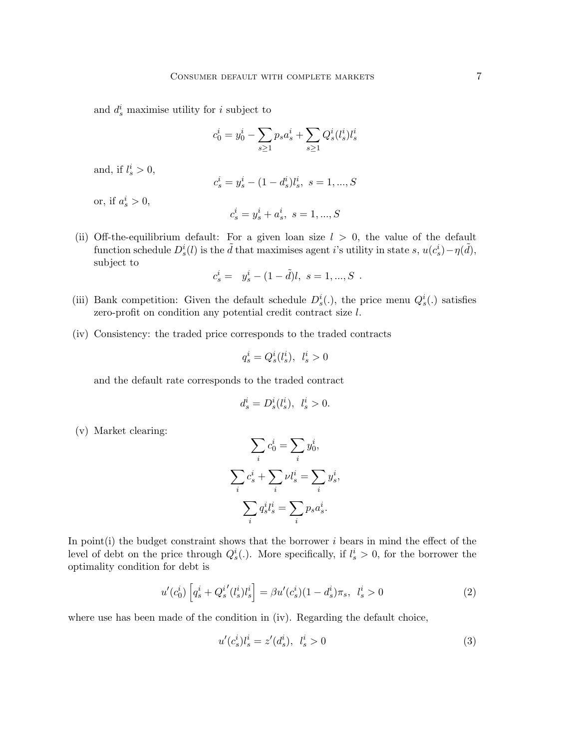and  $d_s^i$  maximise utility for i subject to

$$
c_0^i = y_0^i - \sum_{s \ge 1} p_s a_s^i + \sum_{s \ge 1} Q_s^i (l_s^i) l_s^i
$$

and, if  $l_s^i > 0$ ,

$$
c_s^i = y_s^i - (1 - d_s^i) l_s^i, \ s = 1, ..., S
$$

or, if  $a_s^i > 0$ ,

$$
c_s^i=y_s^i+a_s^i,\ s=1,...,S
$$

(ii) Off-the-equilibrium default: For a given loan size  $l > 0$ , the value of the default function schedule  $D_s^i(l)$  is the  $\tilde{d}$  that maximises agent i's utility in state s,  $u(c_s^i) - \eta(\tilde{d})$ , subject to

$$
c^i_s = y^i_s - (1 - \tilde{d})l, \ s = 1, ..., S \ .
$$

- (iii) Bank competition: Given the default schedule  $D_s^i(.)$ , the price menu  $Q_s^i(.)$  satisfies zero-profit on condition any potential credit contract size l.
- (iv) Consistency: the traded price corresponds to the traded contracts

$$
q_s^i = Q_s^i(l_s^i), \ \ l_s^i > 0
$$

and the default rate corresponds to the traded contract

$$
d_s^i = D_s^i(l_s^i), \ \ l_s^i > 0.
$$

(v) Market clearing:

$$
\sum_{i} c_0^i = \sum_{i} y_0^i,
$$
  

$$
\sum_{i} c_s^i + \sum_{i} \nu l_s^i = \sum_{i} y_s^i,
$$
  

$$
\sum_{i} q_s^i l_s^i = \sum_{i} p_s a_s^i.
$$

In point $(i)$  the budget constraint shows that the borrower i bears in mind the effect of the level of debt on the price through  $Q_s^i(.)$ . More specifically, if  $l_s^i > 0$ , for the borrower the optimality condition for debt is

$$
u'(c_0^i) \left[ q_s^i + Q_s^{i'}(l_s^i) l_s^i \right] = \beta u'(c_s^i) (1 - d_s^i) \pi_s, \ \ l_s^i > 0 \tag{2}
$$

where use has been made of the condition in (iv). Regarding the default choice,

$$
u'(c_s^i)l_s^i = z'(d_s^i), \ \ l_s^i > 0 \tag{3}
$$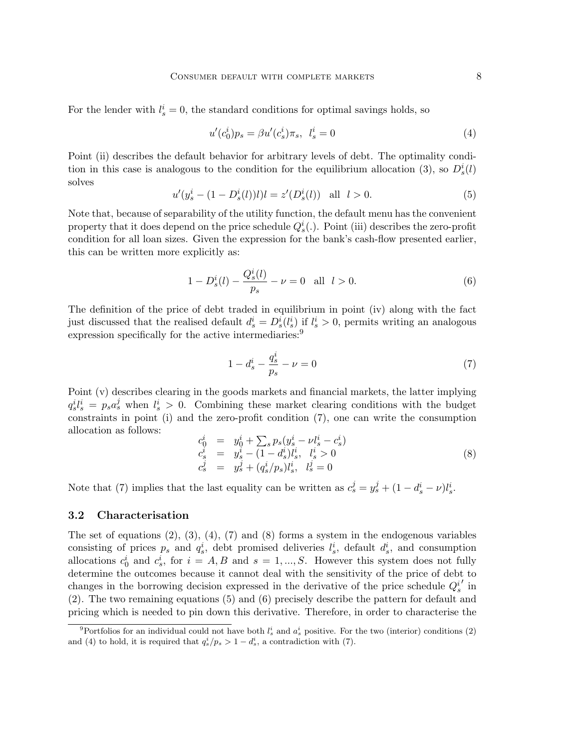For the lender with  $l_s^i = 0$ , the standard conditions for optimal savings holds, so

$$
u'(c_0^i)p_s = \beta u'(c_s^i)\pi_s, \ \ l_s^i = 0 \tag{4}
$$

Point (ii) describes the default behavior for arbitrary levels of debt. The optimality condition in this case is analogous to the condition for the equilibrium allocation (3), so  $D_s^i(l)$ solves

$$
u'(y_s^i - (1 - D_s^i(l))l)l = z'(D_s^i(l)) \text{ all } l > 0.
$$
 (5)

Note that, because of separability of the utility function, the default menu has the convenient property that it does depend on the price schedule  $Q_s^i(.)$ . Point (iii) describes the zero-profit condition for all loan sizes. Given the expression for the bank's cash-flow presented earlier, this can be written more explicitly as:

$$
1 - D_s^i(l) - \frac{Q_s^i(l)}{p_s} - \nu = 0 \quad \text{all} \quad l > 0. \tag{6}
$$

The definition of the price of debt traded in equilibrium in point (iv) along with the fact just discussed that the realised default  $d_s^i = D_s^i(l_s^i)$  if  $l_s^i > 0$ , permits writing an analogous expression specifically for the active intermediaries:<sup>9</sup>

$$
1 - d_s^i - \frac{q_s^i}{p_s} - \nu = 0 \tag{7}
$$

Point (v) describes clearing in the goods markets and financial markets, the latter implying  $q_s^i l_s^i = p_s a_s^j$  when  $l_s^i > 0$ . Combining these market clearing conditions with the budget constraints in point (i) and the zero-profit condition (7), one can write the consumption allocation as follows:

$$
c_0^i = y_0^i + \sum_s p_s (y_s^i - \nu l_s^i - c_s^i)
$$
  
\n
$$
c_s^i = y_s^i - (1 - d_s^i) l_s^i, \quad l_s^i > 0
$$
  
\n
$$
c_s^j = y_s^j + (q_s^i / p_s) l_s^i, \quad l_s^j = 0
$$
\n(8)

Note that (7) implies that the last equality can be written as  $c_s^j = y_s^j + (1 - d_s^i - \nu)l_s^i$ .

#### 3.2 Characterisation

The set of equations  $(2)$ ,  $(3)$ ,  $(4)$ ,  $(7)$  and  $(8)$  forms a system in the endogenous variables consisting of prices  $p_s$  and  $q_s^i$ , debt promised deliveries  $l_s^i$ , default  $d_s^i$ , and consumption allocations  $c_0^i$  and  $c_s^i$ , for  $i = A, B$  and  $s = 1, ..., S$ . However this system does not fully determine the outcomes because it cannot deal with the sensitivity of the price of debt to changes in the borrowing decision expressed in the derivative of the price schedule  $Q_s^i$  $\prime$  in (2). The two remaining equations (5) and (6) precisely describe the pattern for default and pricing which is needed to pin down this derivative. Therefore, in order to characterise the

<sup>&</sup>lt;sup>9</sup>Portfolios for an individual could not have both  $l_s^i$  and  $a_s^i$  positive. For the two (interior) conditions (2) and (4) to hold, it is required that  $q_s^i/p_s > 1 - d_s^i$ , a contradiction with (7).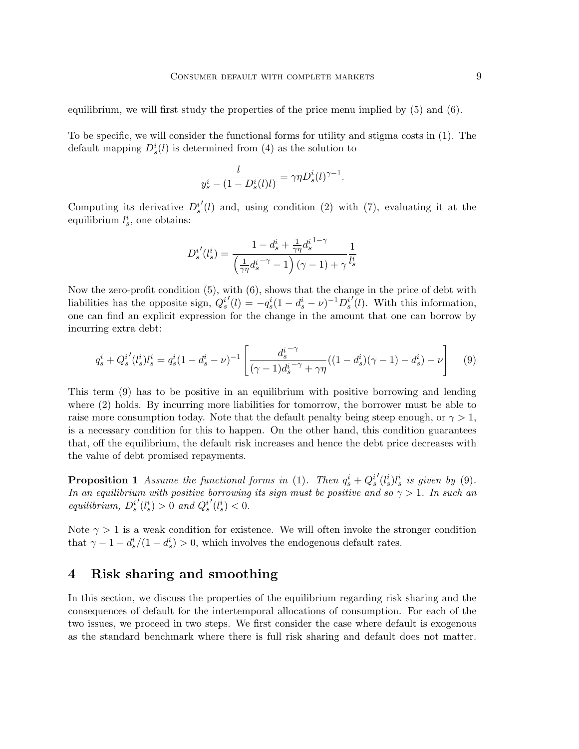equilibrium, we will first study the properties of the price menu implied by  $(5)$  and  $(6)$ .

To be specific, we will consider the functional forms for utility and stigma costs in (1). The default mapping  $D_s^i(l)$  is determined from (4) as the solution to

$$
\frac{l}{y_s^i - (1 - D_s^i(l)l)} = \gamma \eta D_s^i(l)^{\gamma - 1}.
$$

Computing its derivative  $D_s^i$  $(1)$  and, using condition (2) with (7), evaluating it at the equilibrium  $l_s^i$ , one obtains:

$$
D_s^{i'}(l_s^i) = \frac{1-d_s^i + \frac{1}{\gamma\eta}d_s^{i^{1-\gamma}}}{\left(\frac{1}{\gamma\eta}d_s^{i^{-\gamma}} - 1\right)(\gamma - 1) + \gamma}\frac{1}{l_s^i}
$$

Now the zero-profit condition (5), with (6), shows that the change in the price of debt with liabilities has the opposite sign,  $Q_s^i$  $\mathcal{L}'(l) = -q_s^i(1-d_s^i-\nu)^{-1}D_s^i$  $\tilde{d}(l)$ . With this information, one can find an explicit expression for the change in the amount that one can borrow by incurring extra debt:

$$
q_s^i + Q_s^{i'}(l_s^i)l_s^i = q_s^i(1 - d_s^i - \nu)^{-1} \left[ \frac{d_s^{i-\gamma}}{(\gamma - 1)d_s^{i-\gamma} + \gamma\eta}((1 - d_s^i)(\gamma - 1) - d_s^i) - \nu \right] \tag{9}
$$

This term (9) has to be positive in an equilibrium with positive borrowing and lending where (2) holds. By incurring more liabilities for tomorrow, the borrower must be able to raise more consumption today. Note that the default penalty being steep enough, or  $\gamma > 1$ , is a necessary condition for this to happen. On the other hand, this condition guarantees that, off the equilibrium, the default risk increases and hence the debt price decreases with the value of debt promised repayments.

**Proposition 1** Assume the functional forms in (1). Then  $q_s^i + Q_s^i$  $\int'(\ell_s^i) l_s^i$  is given by (9). In an equilibrium with positive borrowing its sign must be positive and so  $\gamma > 1$ . In such an  $equilibrium, D_s^i$  $\mathcal{O}(l_s^i) > 0$  and  $Q_s^i$  $'(l_s^i) < 0.$ 

Note  $\gamma > 1$  is a weak condition for existence. We will often invoke the stronger condition that  $\gamma - 1 - d_s^i/(1 - d_s^i) > 0$ , which involves the endogenous default rates.

### 4 Risk sharing and smoothing

In this section, we discuss the properties of the equilibrium regarding risk sharing and the consequences of default for the intertemporal allocations of consumption. For each of the two issues, we proceed in two steps. We first consider the case where default is exogenous as the standard benchmark where there is full risk sharing and default does not matter.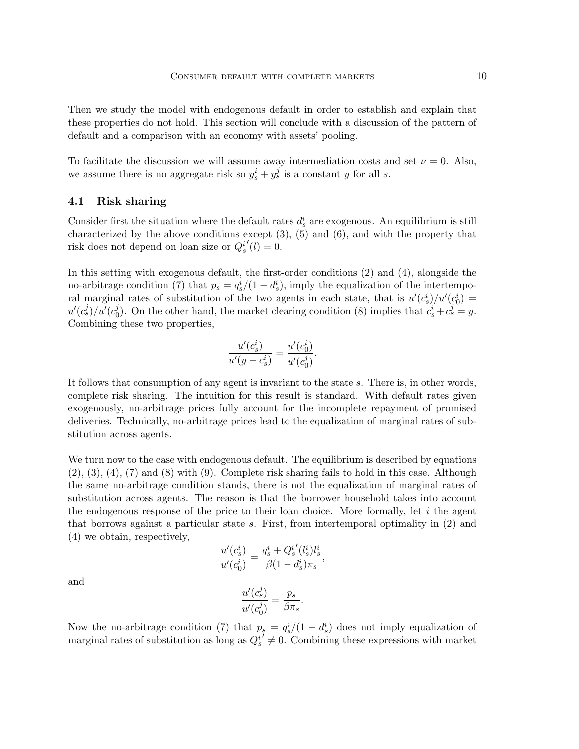Then we study the model with endogenous default in order to establish and explain that these properties do not hold. This section will conclude with a discussion of the pattern of default and a comparison with an economy with assets' pooling.

To facilitate the discussion we will assume away intermediation costs and set  $\nu = 0$ . Also, we assume there is no aggregate risk so  $y_s^i + y_s^j$  is a constant y for all s.

#### 4.1 Risk sharing

Consider first the situation where the default rates  $d_s^i$  are exogenous. An equilibrium is still characterized by the above conditions except  $(3)$ ,  $(5)$  and  $(6)$ , and with the property that risk does not depend on loan size or  $Q_s^i$  $'(l) = 0.$ 

In this setting with exogenous default, the first-order conditions (2) and (4), alongside the no-arbitrage condition (7) that  $p_s = q_s^i/(1 - d_s^i)$ , imply the equalization of the intertemporal marginal rates of substitution of the two agents in each state, that is  $u'(c_s^i)/u'(c_0^i)$  $u'(c^j_s)/u'(c^j_0$ <sup>j</sup><sub>0</sub>). On the other hand, the market clearing condition (8) implies that  $c_s^i + c_s^j = y$ . Combining these two properties,

$$
\frac{u'(c_s^i)}{u'(y-c_s^i)} = \frac{u'(c_0^i)}{u'(c_0^j)}.
$$

It follows that consumption of any agent is invariant to the state s. There is, in other words, complete risk sharing. The intuition for this result is standard. With default rates given exogenously, no-arbitrage prices fully account for the incomplete repayment of promised deliveries. Technically, no-arbitrage prices lead to the equalization of marginal rates of substitution across agents.

We turn now to the case with endogenous default. The equilibrium is described by equations (2), (3), (4), (7) and (8) with (9). Complete risk sharing fails to hold in this case. Although the same no-arbitrage condition stands, there is not the equalization of marginal rates of substitution across agents. The reason is that the borrower household takes into account the endogenous response of the price to their loan choice. More formally, let  $i$  the agent that borrows against a particular state s. First, from intertemporal optimality in (2) and (4) we obtain, respectively,

$$
\frac{u'(c_s^i)}{u'(c_0^i)} = \frac{q_s^i + Q_s^{i'}(l_s^i)l_s^i}{\beta(1 - d_s^i)\pi_s},
$$

and

$$
\frac{u'(c_s^j)}{u'(c_0^j)} = \frac{p_s}{\beta \pi_s}.
$$

Now the no-arbitrage condition (7) that  $p_s = q_s^i/(1 - d_s^i)$  does not imply equalization of marginal rates of substitution as long as  $Q_s^i$  $\overline{0} \neq 0$ . Combining these expressions with market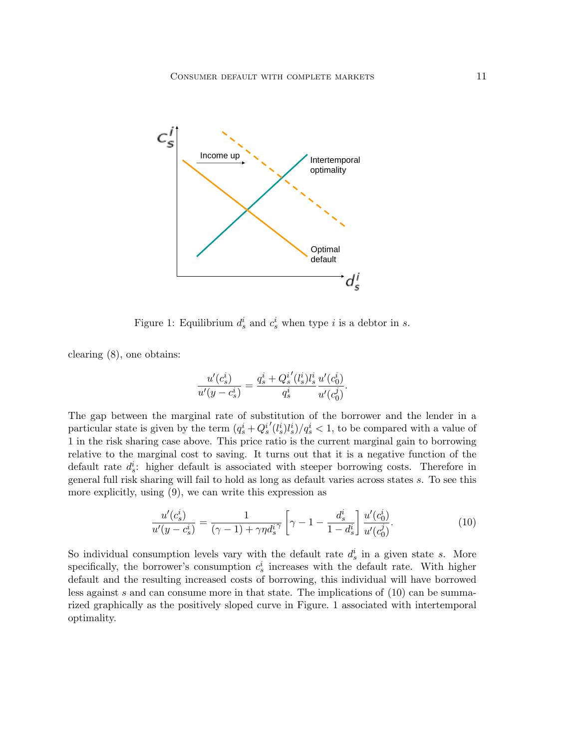

Figure 1: Equilibrium  $d_s^i$  and  $c_s^i$  when type *i* is a debtor in *s*.

clearing (8), one obtains:

$$
\frac{u'(c_s^i)}{u'(y-c_s^i)} = \frac{q_s^i + Q_s^{i'}(l_s^i)l_s^i}{q_s^i} \frac{u'(c_0^i)}{u'(c_0^j)}.
$$

The gap between the marginal rate of substitution of the borrower and the lender in a particular state is given by the term  $(q_s^i + Q_s^i)$  $\langle (l_s^i)l_s^i \rangle /q_s^i < 1$ , to be compared with a value of 1 in the risk sharing case above. This price ratio is the current marginal gain to borrowing relative to the marginal cost to saving. It turns out that it is a negative function of the default rate  $d_s^i$ : higher default is associated with steeper borrowing costs. Therefore in general full risk sharing will fail to hold as long as default varies across states s. To see this more explicitly, using (9), we can write this expression as

$$
\frac{u'(c_s^i)}{u'(y-c_s^i)} = \frac{1}{(\gamma-1) + \gamma\eta d_s^{i\gamma}} \left[\gamma - 1 - \frac{d_s^i}{1-d_s^i}\right] \frac{u'(c_0^i)}{u'(c_0^j)}.
$$
\n(10)

So individual consumption levels vary with the default rate  $d_s^i$  in a given state s. More specifically, the borrower's consumption  $c_s^i$  increases with the default rate. With higher default and the resulting increased costs of borrowing, this individual will have borrowed less against s and can consume more in that state. The implications of (10) can be summarized graphically as the positively sloped curve in Figure. 1 associated with intertemporal optimality.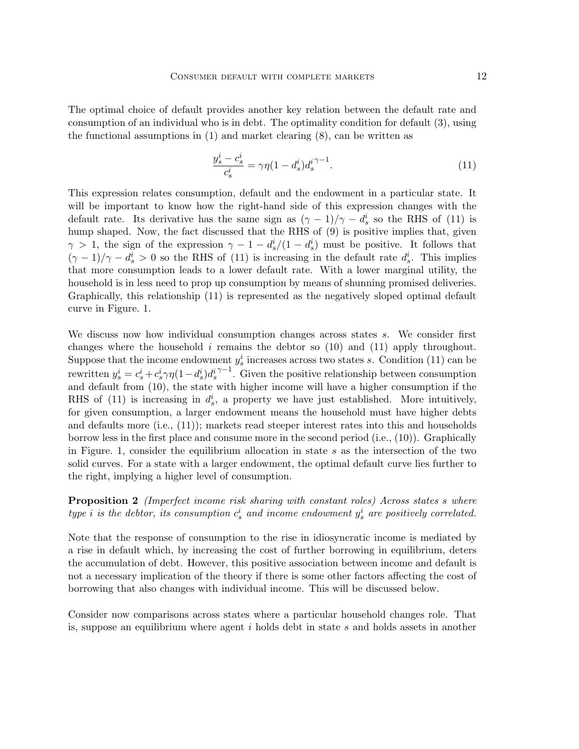The optimal choice of default provides another key relation between the default rate and consumption of an individual who is in debt. The optimality condition for default (3), using the functional assumptions in  $(1)$  and market clearing  $(8)$ , can be written as

$$
\frac{y_s^i - c_s^i}{c_s^i} = \gamma \eta (1 - d_s^i) d_s^{i \gamma - 1}.
$$
\n(11)

This expression relates consumption, default and the endowment in a particular state. It will be important to know how the right-hand side of this expression changes with the default rate. Its derivative has the same sign as  $(\gamma - 1)/\gamma - d_s^i$  so the RHS of (11) is hump shaped. Now, the fact discussed that the RHS of (9) is positive implies that, given  $\gamma > 1$ , the sign of the expression  $\gamma - 1 - d_s^i/(1 - d_s^i)$  must be positive. It follows that  $(\gamma - 1)/\gamma - d_s^i > 0$  so the RHS of (11) is increasing in the default rate  $d_s^i$ . This implies that more consumption leads to a lower default rate. With a lower marginal utility, the household is in less need to prop up consumption by means of shunning promised deliveries. Graphically, this relationship (11) is represented as the negatively sloped optimal default curve in Figure. 1.

We discuss now how individual consumption changes across states s. We consider first changes where the household  $i$  remains the debtor so  $(10)$  and  $(11)$  apply throughout. Suppose that the income endowment  $y_s^i$  increases across two states s. Condition (11) can be rewritten  $y_s^i = c_s^i + c_s^i \gamma \eta (1 - d_s^i) d_s^i$  $\gamma$ <sup>-1</sup>. Given the positive relationship between consumption and default from (10), the state with higher income will have a higher consumption if the RHS of (11) is increasing in  $d_s^i$ , a property we have just established. More intuitively, for given consumption, a larger endowment means the household must have higher debts and defaults more (i.e., (11)); markets read steeper interest rates into this and households borrow less in the first place and consume more in the second period (i.e., (10)). Graphically in Figure. 1, consider the equilibrium allocation in state s as the intersection of the two solid curves. For a state with a larger endowment, the optimal default curve lies further to the right, implying a higher level of consumption.

**Proposition 2** (Imperfect income risk sharing with constant roles) Across states s where type *i* is the debtor, its consumption  $c_s^i$  and income endowment  $y_s^i$  are positively correlated.

Note that the response of consumption to the rise in idiosyncratic income is mediated by a rise in default which, by increasing the cost of further borrowing in equilibrium, deters the accumulation of debt. However, this positive association between income and default is not a necessary implication of the theory if there is some other factors affecting the cost of borrowing that also changes with individual income. This will be discussed below.

Consider now comparisons across states where a particular household changes role. That is, suppose an equilibrium where agent  $i$  holds debt in state  $s$  and holds assets in another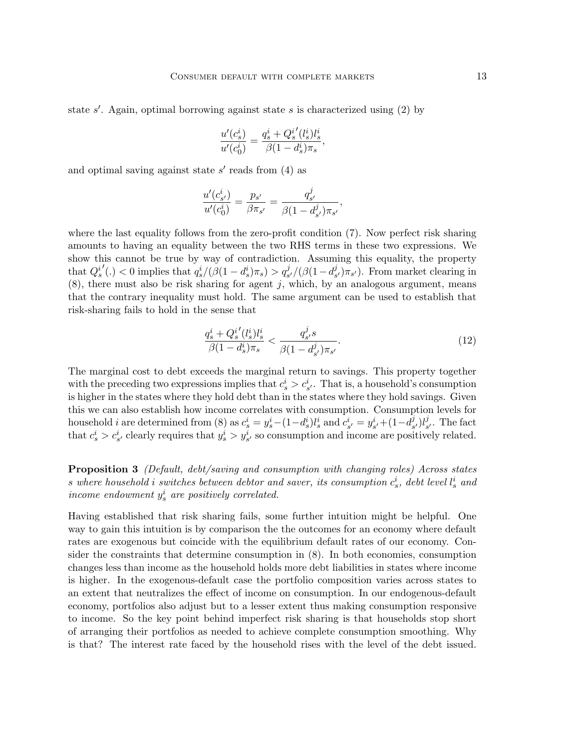state  $s'$ . Again, optimal borrowing against state  $s$  is characterized using (2) by

$$
\frac{u'(c_{s}^{i})}{u'(c_{0}^{i})}=\frac{q_{s}^{i}+Q_{s}^{i'}(l_{s}^{i})l_{s}^{i}}{\beta(1-d_{s}^{i})\pi_{s}},
$$

and optimal saving against state  $s'$  reads from  $(4)$  as

$$
\frac{u'(c_{s'}^i)}{u'(c_0^i)} = \frac{p_{s'}}{\beta \pi_{s'}} = \frac{q_{s'}^j}{\beta (1-d_{s'}^j)\pi_{s'}},
$$

where the last equality follows from the zero-profit condition  $(7)$ . Now perfect risk sharing amounts to having an equality between the two RHS terms in these two expressions. We show this cannot be true by way of contradiction. Assuming this equality, the property that  $Q_s^i$  $\mathcal{O}(n) < 0$  implies that  $q_s^i/(\beta(1-d_s^i)\pi_s) > q_{s'}^j/(\beta(1-d_s^j))$  $(\mathcal{G}_{s'})\pi_{s'}$ ). From market clearing in  $(8)$ , there must also be risk sharing for agent j, which, by an analogous argument, means that the contrary inequality must hold. The same argument can be used to establish that risk-sharing fails to hold in the sense that

$$
\frac{q_s^i + Q_s^{i'}(l_s^i)l_s^i}{\beta(1 - d_s^i)\pi_s} < \frac{q_{s'}^j s}{\beta(1 - d_{s'}^j)\pi_{s'}}.\tag{12}
$$

The marginal cost to debt exceeds the marginal return to savings. This property together with the preceding two expressions implies that  $c_s^i > c_{s'}^i$ . That is, a household's consumption is higher in the states where they hold debt than in the states where they hold savings. Given this we can also establish how income correlates with consumption. Consumption levels for household *i* are determined from (8) as  $c_s^i = y_s^i - (1 - d_s^i)t_s^i$  and  $c_{s'}^i = y_{s'}^i + (1 - d_s^i)t_s^i$  $j_s^j)l_s^j$  $s<sub>s</sub>$ . The fact that  $c_s^i > c_{s'}^i$  clearly requires that  $y_s^i > y_{s'}^i$  so consumption and income are positively related.

Proposition 3 (Default, debt/saving and consumption with changing roles) Across states s where household i switches between debtor and saver, its consumption  $c_s^i$ , debt level  $l_s^i$  and income endowment  $y_s^i$  are positively correlated.

Having established that risk sharing fails, some further intuition might be helpful. One way to gain this intuition is by comparison the the outcomes for an economy where default rates are exogenous but coincide with the equilibrium default rates of our economy. Consider the constraints that determine consumption in (8). In both economies, consumption changes less than income as the household holds more debt liabilities in states where income is higher. In the exogenous-default case the portfolio composition varies across states to an extent that neutralizes the effect of income on consumption. In our endogenous-default economy, portfolios also adjust but to a lesser extent thus making consumption responsive to income. So the key point behind imperfect risk sharing is that households stop short of arranging their portfolios as needed to achieve complete consumption smoothing. Why is that? The interest rate faced by the household rises with the level of the debt issued.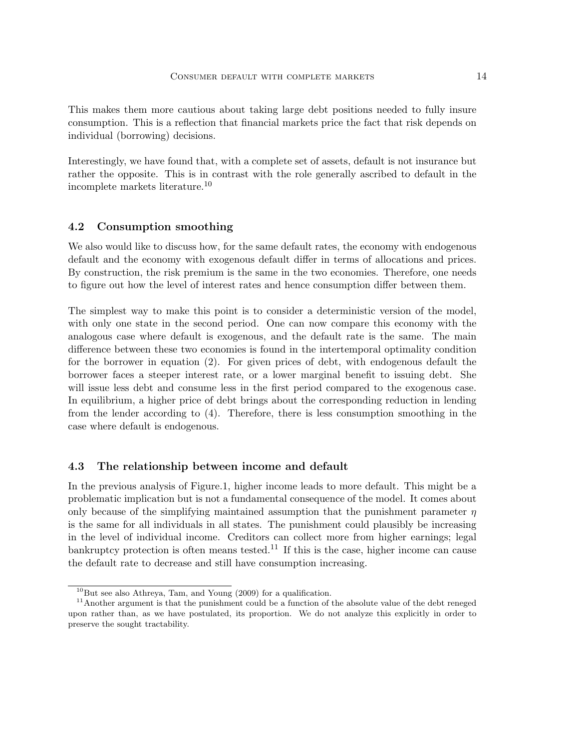This makes them more cautious about taking large debt positions needed to fully insure consumption. This is a reflection that financial markets price the fact that risk depends on individual (borrowing) decisions.

Interestingly, we have found that, with a complete set of assets, default is not insurance but rather the opposite. This is in contrast with the role generally ascribed to default in the incomplete markets literature.<sup>10</sup>

#### 4.2 Consumption smoothing

We also would like to discuss how, for the same default rates, the economy with endogenous default and the economy with exogenous default differ in terms of allocations and prices. By construction, the risk premium is the same in the two economies. Therefore, one needs to figure out how the level of interest rates and hence consumption differ between them.

The simplest way to make this point is to consider a deterministic version of the model, with only one state in the second period. One can now compare this economy with the analogous case where default is exogenous, and the default rate is the same. The main difference between these two economies is found in the intertemporal optimality condition for the borrower in equation (2). For given prices of debt, with endogenous default the borrower faces a steeper interest rate, or a lower marginal benefit to issuing debt. She will issue less debt and consume less in the first period compared to the exogenous case. In equilibrium, a higher price of debt brings about the corresponding reduction in lending from the lender according to (4). Therefore, there is less consumption smoothing in the case where default is endogenous.

#### 4.3 The relationship between income and default

In the previous analysis of Figure.1, higher income leads to more default. This might be a problematic implication but is not a fundamental consequence of the model. It comes about only because of the simplifying maintained assumption that the punishment parameter  $\eta$ is the same for all individuals in all states. The punishment could plausibly be increasing in the level of individual income. Creditors can collect more from higher earnings; legal bankruptcy protection is often means tested.<sup>11</sup> If this is the case, higher income can cause the default rate to decrease and still have consumption increasing.

 $10B$ ut see also Athreya, Tam, and Young (2009) for a qualification.

<sup>&</sup>lt;sup>11</sup>Another argument is that the punishment could be a function of the absolute value of the debt reneged upon rather than, as we have postulated, its proportion. We do not analyze this explicitly in order to preserve the sought tractability.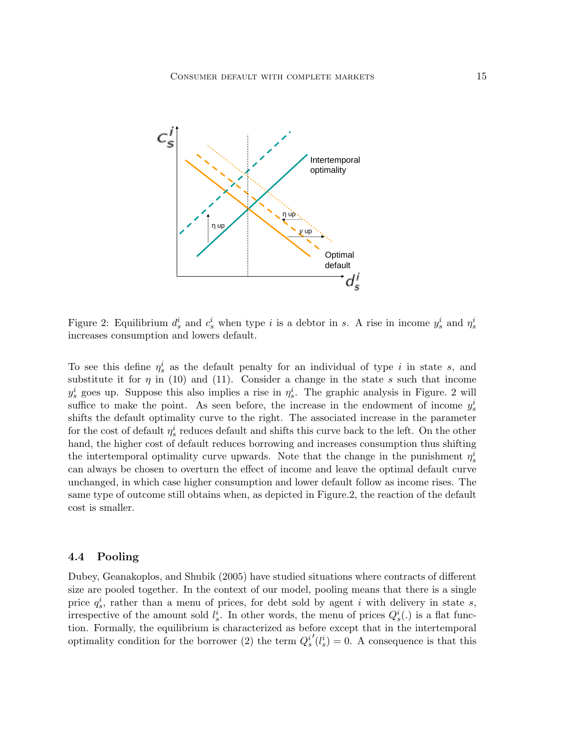

Figure 2: Equilibrium  $d_s^i$  and  $c_s^i$  when type i is a debtor in s. A rise in income  $y_s^i$  and  $\eta_s^i$ increases consumption and lowers default.

To see this define  $\eta_s^i$  as the default penalty for an individual of type i in state s, and substitute it for  $\eta$  in (10) and (11). Consider a change in the state s such that income  $y_s^i$  goes up. Suppose this also implies a rise in  $\eta_s^i$ . The graphic analysis in Figure. 2 will suffice to make the point. As seen before, the increase in the endowment of income  $y_s^i$ shifts the default optimality curve to the right. The associated increase in the parameter for the cost of default  $\eta_s^i$  reduces default and shifts this curve back to the left. On the other hand, the higher cost of default reduces borrowing and increases consumption thus shifting the intertemporal optimality curve upwards. Note that the change in the punishment  $\eta_s^i$ can always be chosen to overturn the effect of income and leave the optimal default curve unchanged, in which case higher consumption and lower default follow as income rises. The same type of outcome still obtains when, as depicted in Figure.2, the reaction of the default cost is smaller.

#### 4.4 Pooling

Dubey, Geanakoplos, and Shubik (2005) have studied situations where contracts of different size are pooled together. In the context of our model, pooling means that there is a single price  $q_s^i$ , rather than a menu of prices, for debt sold by agent i with delivery in state s, irrespective of the amount sold  $l_s^i$ . In other words, the menu of prices  $Q_s^i(.)$  is a flat function. Formally, the equilibrium is characterized as before except that in the intertemporal optimality condition for the borrower (2) the term  $Q_s^i$  $\mathcal{O}(l_s^i) = 0$ . A consequence is that this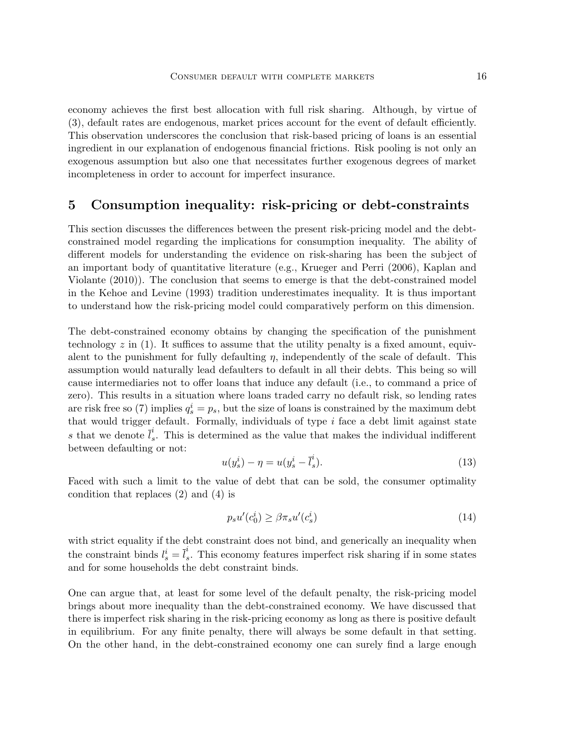economy achieves the first best allocation with full risk sharing. Although, by virtue of (3), default rates are endogenous, market prices account for the event of default efficiently. This observation underscores the conclusion that risk-based pricing of loans is an essential ingredient in our explanation of endogenous financial frictions. Risk pooling is not only an exogenous assumption but also one that necessitates further exogenous degrees of market incompleteness in order to account for imperfect insurance.

### 5 Consumption inequality: risk-pricing or debt-constraints

This section discusses the differences between the present risk-pricing model and the debtconstrained model regarding the implications for consumption inequality. The ability of different models for understanding the evidence on risk-sharing has been the subject of an important body of quantitative literature (e.g., Krueger and Perri (2006), Kaplan and Violante (2010)). The conclusion that seems to emerge is that the debt-constrained model in the Kehoe and Levine (1993) tradition underestimates inequality. It is thus important to understand how the risk-pricing model could comparatively perform on this dimension.

The debt-constrained economy obtains by changing the specification of the punishment technology  $z$  in (1). It suffices to assume that the utility penalty is a fixed amount, equivalent to the punishment for fully defaulting  $\eta$ , independently of the scale of default. This assumption would naturally lead defaulters to default in all their debts. This being so will cause intermediaries not to offer loans that induce any default (i.e., to command a price of zero). This results in a situation where loans traded carry no default risk, so lending rates are risk free so (7) implies  $q_s^i = p_s$ , but the size of loans is constrained by the maximum debt that would trigger default. Formally, individuals of type  $i$  face a debt limit against state s that we denote  $\overline{l}_s^i$ s . This is determined as the value that makes the individual indifferent between defaulting or not:

$$
u(y_s^i) - \eta = u(y_s^i - \bar{l}_s^i). \tag{13}
$$

Faced with such a limit to the value of debt that can be sold, the consumer optimality condition that replaces (2) and (4) is

$$
p_s u'(c_0^i) \ge \beta \pi_s u'(c_s^i)
$$
\n<sup>(14)</sup>

with strict equality if the debt constraint does not bind, and generically an inequality when the constraint binds  $l_s^i = \overline{l}_s^i$ s . This economy features imperfect risk sharing if in some states and for some households the debt constraint binds.

One can argue that, at least for some level of the default penalty, the risk-pricing model brings about more inequality than the debt-constrained economy. We have discussed that there is imperfect risk sharing in the risk-pricing economy as long as there is positive default in equilibrium. For any finite penalty, there will always be some default in that setting. On the other hand, in the debt-constrained economy one can surely find a large enough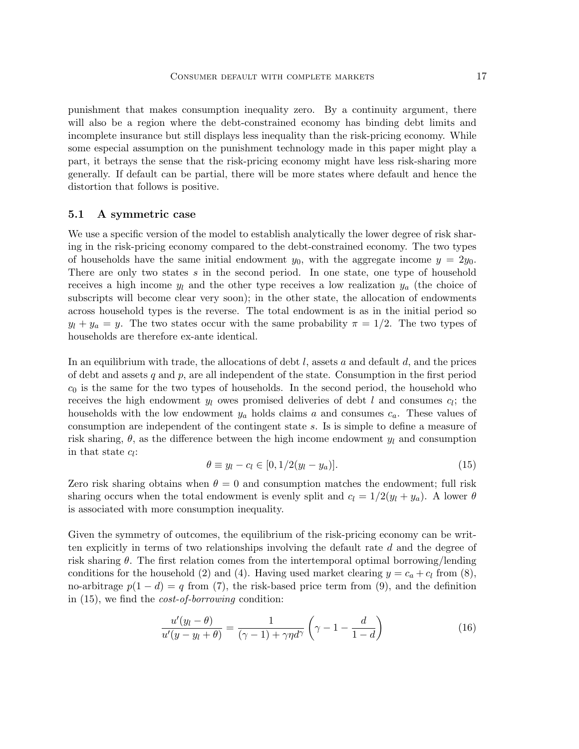punishment that makes consumption inequality zero. By a continuity argument, there will also be a region where the debt-constrained economy has binding debt limits and incomplete insurance but still displays less inequality than the risk-pricing economy. While some especial assumption on the punishment technology made in this paper might play a part, it betrays the sense that the risk-pricing economy might have less risk-sharing more generally. If default can be partial, there will be more states where default and hence the distortion that follows is positive.

#### 5.1 A symmetric case

We use a specific version of the model to establish analytically the lower degree of risk sharing in the risk-pricing economy compared to the debt-constrained economy. The two types of households have the same initial endowment  $y_0$ , with the aggregate income  $y = 2y_0$ . There are only two states s in the second period. In one state, one type of household receives a high income  $y_l$  and the other type receives a low realization  $y_a$  (the choice of subscripts will become clear very soon); in the other state, the allocation of endowments across household types is the reverse. The total endowment is as in the initial period so  $y_l + y_a = y$ . The two states occur with the same probability  $\pi = 1/2$ . The two types of households are therefore ex-ante identical.

In an equilibrium with trade, the allocations of debt  $l$ , assets a and default  $d$ , and the prices of debt and assets q and  $p$ , are all independent of the state. Consumption in the first period  $c_0$  is the same for the two types of households. In the second period, the household who receives the high endowment  $y_l$  owes promised deliveries of debt l and consumes  $c_l$ ; the households with the low endowment  $y_a$  holds claims a and consumes  $c_a$ . These values of consumption are independent of the contingent state s. Is is simple to define a measure of risk sharing,  $\theta$ , as the difference between the high income endowment  $y_l$  and consumption in that state  $c_l$ :

$$
\theta \equiv y_l - c_l \in [0, 1/2(y_l - y_a)]. \tag{15}
$$

Zero risk sharing obtains when  $\theta = 0$  and consumption matches the endowment; full risk sharing occurs when the total endowment is evenly split and  $c_l = 1/2(y_l + y_a)$ . A lower  $\theta$ is associated with more consumption inequality.

Given the symmetry of outcomes, the equilibrium of the risk-pricing economy can be written explicitly in terms of two relationships involving the default rate  $d$  and the degree of risk sharing  $\theta$ . The first relation comes from the intertemporal optimal borrowing/lending conditions for the household (2) and (4). Having used market clearing  $y = c_a + c_l$  from (8), no-arbitrage  $p(1-d) = q$  from (7), the risk-based price term from (9), and the definition in (15), we find the cost-of-borrowing condition:

$$
\frac{u'(y_l - \theta)}{u'(y - y_l + \theta)} = \frac{1}{(\gamma - 1) + \gamma \eta d^{\gamma}} \left(\gamma - 1 - \frac{d}{1 - d}\right)
$$
(16)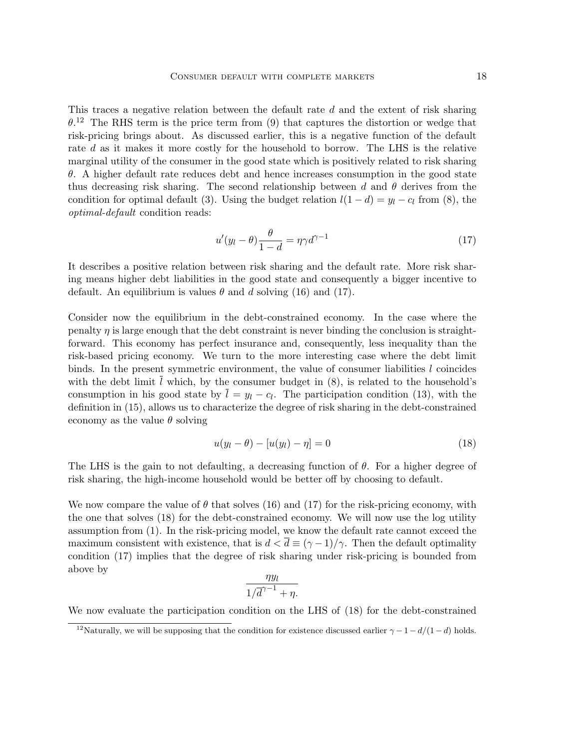This traces a negative relation between the default rate d and the extent of risk sharing  $\theta$ <sup>12</sup> The RHS term is the price term from (9) that captures the distortion or wedge that risk-pricing brings about. As discussed earlier, this is a negative function of the default rate d as it makes it more costly for the household to borrow. The LHS is the relative marginal utility of the consumer in the good state which is positively related to risk sharing  $\theta$ . A higher default rate reduces debt and hence increases consumption in the good state thus decreasing risk sharing. The second relationship between d and  $\theta$  derives from the condition for optimal default (3). Using the budget relation  $l(1 - d) = y_l - c_l$  from (8), the optimal-default condition reads:

$$
u'(y_l - \theta) \frac{\theta}{1 - d} = \eta \gamma d^{\gamma - 1}
$$
\n(17)

It describes a positive relation between risk sharing and the default rate. More risk sharing means higher debt liabilities in the good state and consequently a bigger incentive to default. An equilibrium is values  $\theta$  and d solving (16) and (17).

Consider now the equilibrium in the debt-constrained economy. In the case where the penalty  $\eta$  is large enough that the debt constraint is never binding the conclusion is straightforward. This economy has perfect insurance and, consequently, less inequality than the risk-based pricing economy. We turn to the more interesting case where the debt limit binds. In the present symmetric environment, the value of consumer liabilities  $l$  coincides with the debt limit  $l$  which, by the consumer budget in  $(8)$ , is related to the household's consumption in his good state by  $l = y_l - c_l$ . The participation condition (13), with the definition in (15), allows us to characterize the degree of risk sharing in the debt-constrained economy as the value  $\theta$  solving

$$
u(y_l - \theta) - [u(y_l) - \eta] = 0 \tag{18}
$$

The LHS is the gain to not defaulting, a decreasing function of  $\theta$ . For a higher degree of risk sharing, the high-income household would be better off by choosing to default.

We now compare the value of  $\theta$  that solves (16) and (17) for the risk-pricing economy, with the one that solves (18) for the debt-constrained economy. We will now use the log utility assumption from (1). In the risk-pricing model, we know the default rate cannot exceed the maximum consistent with existence, that is  $d < \overline{d} \equiv (\gamma - 1)/\gamma$ . Then the default optimality condition (17) implies that the degree of risk sharing under risk-pricing is bounded from above by

$$
\frac{\eta y_l}{1/\overline{d}^{\gamma-1}+\eta}.
$$

We now evaluate the participation condition on the LHS of (18) for the debt-constrained

<sup>&</sup>lt;sup>12</sup>Naturally, we will be supposing that the condition for existence discussed earlier  $\gamma - 1 - d/(1-d)$  holds.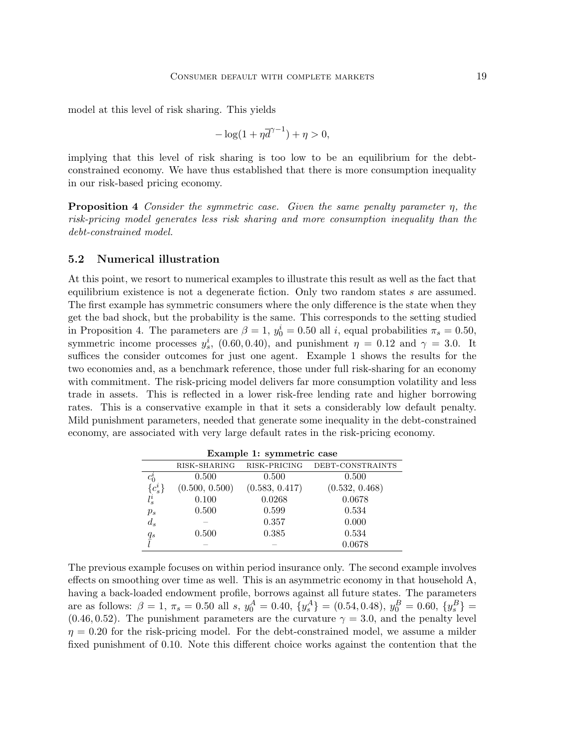model at this level of risk sharing. This yields

$$
-\log(1+\eta \overline{d}^{\gamma-1}) + \eta > 0,
$$

implying that this level of risk sharing is too low to be an equilibrium for the debtconstrained economy. We have thus established that there is more consumption inequality in our risk-based pricing economy.

**Proposition 4** Consider the symmetric case. Given the same penalty parameter  $\eta$ , the risk-pricing model generates less risk sharing and more consumption inequality than the debt-constrained model.

#### 5.2 Numerical illustration

At this point, we resort to numerical examples to illustrate this result as well as the fact that equilibrium existence is not a degenerate fiction. Only two random states s are assumed. The first example has symmetric consumers where the only difference is the state when they get the bad shock, but the probability is the same. This corresponds to the setting studied in Proposition 4. The parameters are  $\beta = 1$ ,  $y_0^i = 0.50$  all i, equal probabilities  $\pi_s = 0.50$ , symmetric income processes  $y_s^i$ , (0.60, 0.40), and punishment  $\eta = 0.12$  and  $\gamma = 3.0$ . It suffices the consider outcomes for just one agent. Example 1 shows the results for the two economies and, as a benchmark reference, those under full risk-sharing for an economy with commitment. The risk-pricing model delivers far more consumption volatility and less trade in assets. This is reflected in a lower risk-free lending rate and higher borrowing rates. This is a conservative example in that it sets a considerably low default penalty. Mild punishment parameters, needed that generate some inequality in the debt-constrained economy, are associated with very large default rates in the risk-pricing economy.

| Example 1: symmetric case |                |                |                  |  |
|---------------------------|----------------|----------------|------------------|--|
|                           | RISK-SHARING   | RISK-PRICING   | DEBT-CONSTRAINTS |  |
| $c_0^i$                   | 0.500          | 0.500          | 0.500            |  |
| $\{c_s^i\}$               | (0.500, 0.500) | (0.583, 0.417) | (0.532, 0.468)   |  |
|                           | 0.100          | 0.0268         | 0.0678           |  |
| $p_s$                     | 0.500          | 0.599          | 0.534            |  |
| $d_s$                     |                | 0.357          | 0.000            |  |
|                           | 0.500          | 0.385          | 0.534            |  |
| $\frac{q_s}{l}$           |                |                | 0.0678           |  |

The previous example focuses on within period insurance only. The second example involves effects on smoothing over time as well. This is an asymmetric economy in that household A, having a back-loaded endowment profile, borrows against all future states. The parameters are as follows:  $\beta = 1, \pi_s = 0.50$  all s,  $y_0^A = 0.40, \{y_s^A\} = (0.54, 0.48), y_0^B = 0.60, \{y_s^B\} =$ (0.46, 0.52). The punishment parameters are the curvature  $\gamma = 3.0$ , and the penalty level  $\eta = 0.20$  for the risk-pricing model. For the debt-constrained model, we assume a milder fixed punishment of 0.10. Note this different choice works against the contention that the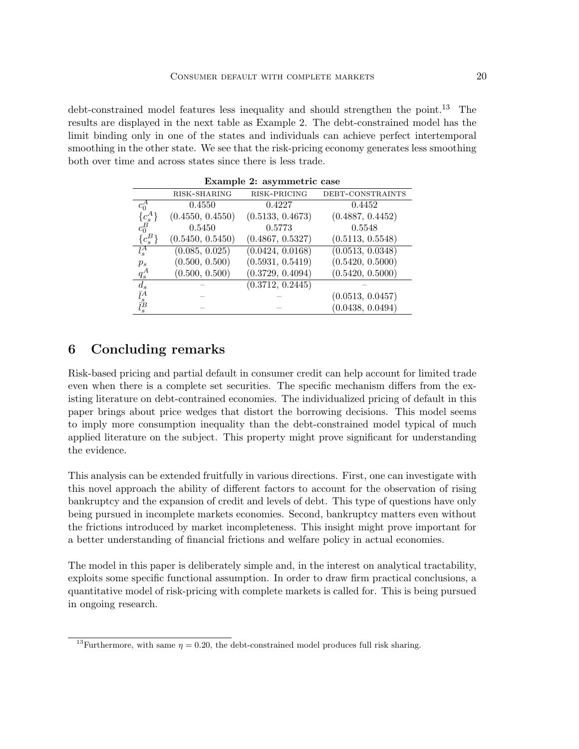debt-constrained model features less inequality and should strengthen the point.<sup>13</sup> The results are displayed in the next table as Example 2. The debt-constrained model has the limit binding only in one of the states and individuals can achieve perfect intertemporal smoothing in the other state. We see that the risk-pricing economy generates less smoothing both over time and across states since there is less trade.

| <b>Example 2: asymmetric case</b> |                  |                  |                  |  |  |
|-----------------------------------|------------------|------------------|------------------|--|--|
|                                   | RISK-SHARING     | RISK-PRICING     | DEBT-CONSTRAINTS |  |  |
| $c_0^A$                           | 0.4550           | 0.4227           | 0.4452           |  |  |
| ${c_s^A}$                         | (0.4550, 0.4550) | (0.5133, 0.4673) | (0.4887, 0.4452) |  |  |
| $c_0^B$                           | 0.5450           | 0.5773           | 0.5548           |  |  |
| $\{c_s^B\}$                       | (0.5450, 0.5450) | (0.4867, 0.5327) | (0.5113, 0.5548) |  |  |
| $\overline{l_s^A}$                | (0.085, 0.025)   | (0.0424, 0.0168) | (0.0513, 0.0348) |  |  |
| $p_s$                             | (0.500, 0.500)   | (0.5931, 0.5419) | (0.5420, 0.5000) |  |  |
| $q_s^A$                           | (0.500, 0.500)   | (0.3729, 0.4094) | (0.5420, 0.5000) |  |  |
|                                   |                  | (0.3712, 0.2445) |                  |  |  |
| $\frac{d_s}{\bar{l}_s^A}$         |                  |                  | (0.0513, 0.0457) |  |  |
|                                   |                  |                  | (0.0438, 0.0494) |  |  |

Example 2: asymmetric case

# 6 Concluding remarks

Risk-based pricing and partial default in consumer credit can help account for limited trade even when there is a complete set securities. The specific mechanism differs from the existing literature on debt-contrained economies. The individualized pricing of default in this paper brings about price wedges that distort the borrowing decisions. This model seems to imply more consumption inequality than the debt-constrained model typical of much applied literature on the subject. This property might prove significant for understanding the evidence.

This analysis can be extended fruitfully in various directions. First, one can investigate with this novel approach the ability of different factors to account for the observation of rising bankruptcy and the expansion of credit and levels of debt. This type of questions have only being pursued in incomplete markets economies. Second, bankruptcy matters even without the frictions introduced by market incompleteness. This insight might prove important for a better understanding of financial frictions and welfare policy in actual economies.

The model in this paper is deliberately simple and, in the interest on analytical tractability, exploits some specific functional assumption. In order to draw firm practical conclusions, a quantitative model of risk-pricing with complete markets is called for. This is being pursued in ongoing research.

<sup>&</sup>lt;sup>13</sup>Furthermore, with same  $\eta = 0.20$ , the debt-constrained model produces full risk sharing.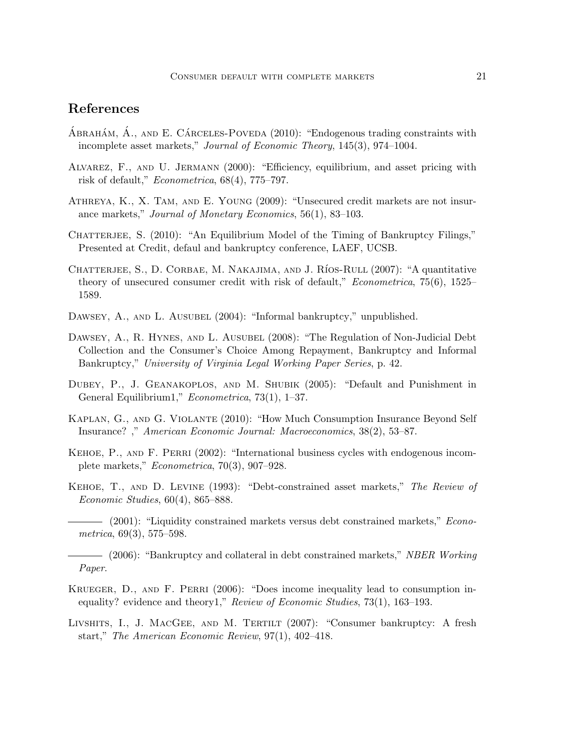# References

- ABRAHÁM,  $\acute{A}$ ., AND E. CÁRCELES-POVEDA  $(2010)$ : "Endogenous trading constraints with incomplete asset markets," Journal of Economic Theory, 145(3), 974–1004.
- Alvarez, F., and U. Jermann (2000): "Efficiency, equilibrium, and asset pricing with risk of default," Econometrica, 68(4), 775–797.
- Athreya, K., X. Tam, and E. Young (2009): "Unsecured credit markets are not insurance markets," Journal of Monetary Economics, 56(1), 83–103.
- CHATTERJEE, S. (2010): "An Equilibrium Model of the Timing of Bankruptcy Filings," Presented at Credit, defaul and bankruptcy conference, LAEF, UCSB.
- CHATTERJEE, S., D. CORBAE, M. NAKAJIMA, AND J. RÍOS-RULL (2007): "A quantitative theory of unsecured consumer credit with risk of default," Econometrica, 75(6), 1525– 1589.
- DAWSEY, A., AND L. AUSUBEL (2004): "Informal bankruptcy," unpublished.
- DAWSEY, A., R. HYNES, AND L. AUSUBEL (2008): "The Regulation of Non-Judicial Debt Collection and the Consumer's Choice Among Repayment, Bankruptcy and Informal Bankruptcy," University of Virginia Legal Working Paper Series, p. 42.
- Dubey, P., J. Geanakoplos, and M. Shubik (2005): "Default and Punishment in General Equilibrium1," Econometrica, 73(1), 1–37.
- Kaplan, G., and G. Violante (2010): "How Much Consumption Insurance Beyond Self Insurance? ," American Economic Journal: Macroeconomics, 38(2), 53–87.
- KEHOE, P., AND F. PERRI (2002): "International business cycles with endogenous incomplete markets," Econometrica, 70(3), 907–928.
- Kehoe, T., and D. Levine (1993): "Debt-constrained asset markets," The Review of Economic Studies, 60(4), 865–888.
- (2001): "Liquidity constrained markets versus debt constrained markets," *Econo*metrica, 69(3), 575–598.

- Krueger, D., and F. Perri (2006): "Does income inequality lead to consumption inequality? evidence and theory1," Review of Economic Studies, 73(1), 163–193.
- Livshits, I., J. MacGee, and M. Tertilt (2007): "Consumer bankruptcy: A fresh start," The American Economic Review, 97(1), 402–418.

<sup>- (2006): &</sup>quot;Bankruptcy and collateral in debt constrained markets," NBER Working Paper.